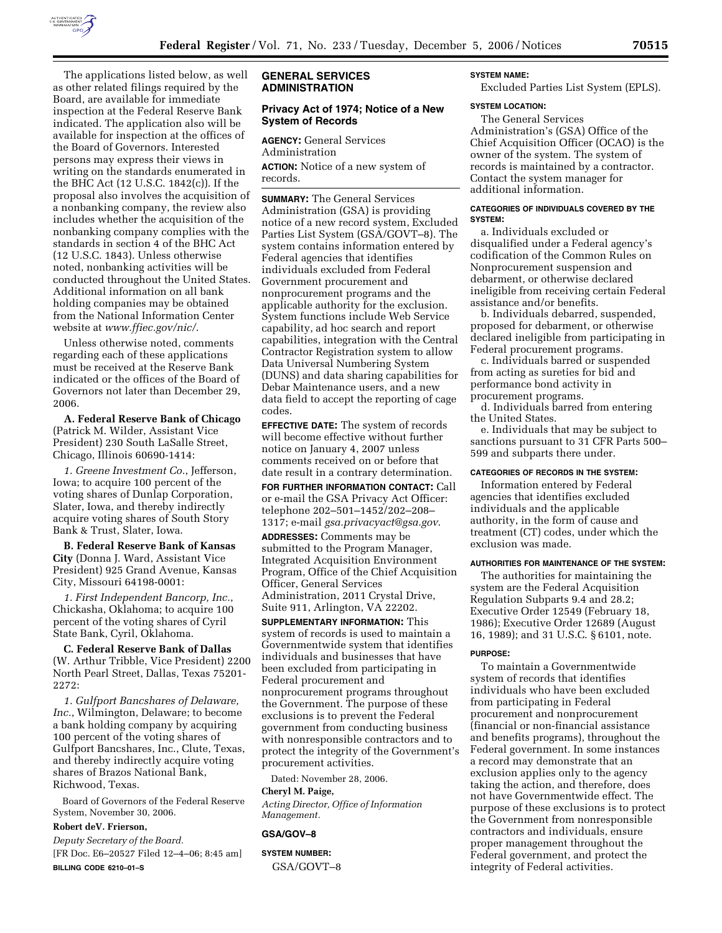

The applications listed below, as well as other related filings required by the Board, are available for immediate inspection at the Federal Reserve Bank indicated. The application also will be available for inspection at the offices of the Board of Governors. Interested persons may express their views in writing on the standards enumerated in the BHC Act (12 U.S.C. 1842(c)). If the proposal also involves the acquisition of a nonbanking company, the review also includes whether the acquisition of the nonbanking company complies with the standards in section 4 of the BHC Act (12 U.S.C. 1843). Unless otherwise noted, nonbanking activities will be conducted throughout the United States. Additional information on all bank holding companies may be obtained from the National Information Center website at *www.ffiec.gov/nic/*.

Unless otherwise noted, comments regarding each of these applications must be received at the Reserve Bank indicated or the offices of the Board of Governors not later than December 29, 2006.

**A. Federal Reserve Bank of Chicago**  (Patrick M. Wilder, Assistant Vice President) 230 South LaSalle Street, Chicago, Illinois 60690-1414:

*1. Greene Investment Co.*, Jefferson, Iowa; to acquire 100 percent of the voting shares of Dunlap Corporation, Slater, Iowa, and thereby indirectly acquire voting shares of South Story Bank & Trust, Slater, Iowa.

**B. Federal Reserve Bank of Kansas City** (Donna J. Ward, Assistant Vice President) 925 Grand Avenue, Kansas City, Missouri 64198-0001:

*1. First Independent Bancorp, Inc.*, Chickasha, Oklahoma; to acquire 100 percent of the voting shares of Cyril State Bank, Cyril, Oklahoma.

**C. Federal Reserve Bank of Dallas**  (W. Arthur Tribble, Vice President) 2200 North Pearl Street, Dallas, Texas 75201- 2272:

*1. Gulfport Bancshares of Delaware, Inc.*, Wilmington, Delaware; to become a bank holding company by acquiring 100 percent of the voting shares of Gulfport Bancshares, Inc., Clute, Texas, and thereby indirectly acquire voting shares of Brazos National Bank, Richwood, Texas.

Board of Governors of the Federal Reserve System, November 30, 2006.

## **Robert deV. Frierson,**

*Deputy Secretary of the Board.* 

[FR Doc. E6–20527 Filed 12–4–06; 8:45 am] **BILLING CODE 6210–01–S** 

## **GENERAL SERVICES ADMINISTRATION**

## **Privacy Act of 1974; Notice of a New System of Records**

**AGENCY:** General Services Administration

**ACTION:** Notice of a new system of records.

**SUMMARY:** The General Services Administration (GSA) is providing notice of a new record system, Excluded Parties List System (GSA/GOVT–8). The system contains information entered by Federal agencies that identifies individuals excluded from Federal Government procurement and nonprocurement programs and the applicable authority for the exclusion. System functions include Web Service capability, ad hoc search and report capabilities, integration with the Central Contractor Registration system to allow Data Universal Numbering System (DUNS) and data sharing capabilities for Debar Maintenance users, and a new data field to accept the reporting of cage codes.

**EFFECTIVE DATE:** The system of records will become effective without further notice on January 4, 2007 unless comments received on or before that date result in a contrary determination. **FOR FURTHER INFORMATION CONTACT:** Call or e-mail the GSA Privacy Act Officer:

telephone 202–501–1452/202–208– 1317; e-mail *gsa.privacyact@gsa.gov*.

**ADDRESSES:** Comments may be submitted to the Program Manager, Integrated Acquisition Environment Program, Office of the Chief Acquisition Officer, General Services Administration, 2011 Crystal Drive, Suite 911, Arlington, VA 22202.

**SUPPLEMENTARY INFORMATION:** This system of records is used to maintain a Governmentwide system that identifies individuals and businesses that have been excluded from participating in Federal procurement and nonprocurement programs throughout the Government. The purpose of these exclusions is to prevent the Federal government from conducting business with nonresponsible contractors and to protect the integrity of the Government's procurement activities.

Dated: November 28, 2006.

# **Cheryl M. Paige,**

*Acting Director, Office of Information Management.* 

## **GSA/GOV–8**

**SYSTEM NUMBER:**  GSA/GOVT–8

# **SYSTEM NAME:**

Excluded Parties List System (EPLS).

## **SYSTEM LOCATION:**

The General Services Administration's (GSA) Office of the Chief Acquisition Officer (OCAO) is the owner of the system. The system of records is maintained by a contractor. Contact the system manager for additional information.

## **CATEGORIES OF INDIVIDUALS COVERED BY THE SYSTEM:**

a. Individuals excluded or disqualified under a Federal agency's codification of the Common Rules on Nonprocurement suspension and debarment, or otherwise declared ineligible from receiving certain Federal assistance and/or benefits.

b. Individuals debarred, suspended, proposed for debarment, or otherwise declared ineligible from participating in Federal procurement programs.

c. Individuals barred or suspended from acting as sureties for bid and performance bond activity in procurement programs.

d. Individuals barred from entering the United States.

e. Individuals that may be subject to sanctions pursuant to 31 CFR Parts 500– 599 and subparts there under.

## **CATEGORIES OF RECORDS IN THE SYSTEM:**

Information entered by Federal agencies that identifies excluded individuals and the applicable authority, in the form of cause and treatment (CT) codes, under which the exclusion was made.

#### **AUTHORITIES FOR MAINTENANCE OF THE SYSTEM:**

The authorities for maintaining the system are the Federal Acquisition Regulation Subparts 9.4 and 28.2; Executive Order 12549 (February 18, 1986); Executive Order 12689 (August 16, 1989); and 31 U.S.C. § 6101, note.

#### **PURPOSE:**

To maintain a Governmentwide system of records that identifies individuals who have been excluded from participating in Federal procurement and nonprocurement (financial or non-financial assistance and benefits programs), throughout the Federal government. In some instances a record may demonstrate that an exclusion applies only to the agency taking the action, and therefore, does not have Governmentwide effect. The purpose of these exclusions is to protect the Government from nonresponsible contractors and individuals, ensure proper management throughout the Federal government, and protect the integrity of Federal activities.